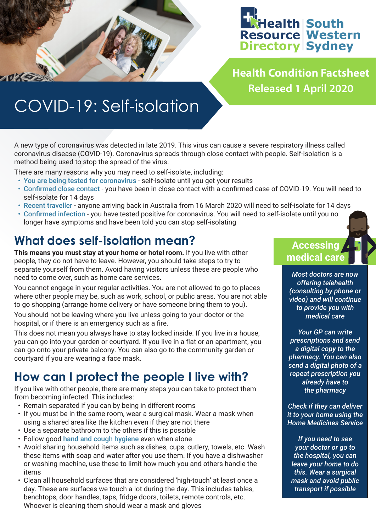

**Health Condition Factsheet Released 1 April 2020**

## COVID-19: Self-isolation

A new type of coronavirus was detected in late 2019. This virus can cause a severe respiratory illness called coronavirus disease (COVID-19). Coronavirus spreads through close contact with people. Self-isolation is a method being used to stop the spread of the virus.

There are many reasons why you may need to self-isolate, including:

- You are being tested for coronavirus self-isolate until you get your results
- Confirmed close contact you have been in close contact with a confirmed case of COVID-19. You will need to self-isolate for 14 days
- Recent traveller anyone arriving back in Australia from 16 March 2020 will need to self-isolate for 14 days
- Confirmed infection you have tested positive for coronavirus. You will need to self-isolate until you no longer have symptoms and have been told you can stop self-isolating

## **What does self-isolation mean?**

**This means you must stay at your home or hotel room.** If you live with other people, they do not have to leave. However, you should take steps to try to separate yourself from them. Avoid having visitors unless these are people who need to come over, such as home care services.

You cannot engage in your regular activities. You are not allowed to go to places where other people may be, such as work, school, or public areas. You are not able to go shopping (arrange home delivery or have someone bring them to you).

You should not be leaving where you live unless going to your doctor or the hospital, or if there is an emergency such as a fire.

This does not mean you always have to stay locked inside. If you live in a house, you can go into your garden or courtyard. If you live in a flat or an apartment, you can go onto your private balcony. You can also go to the community garden or courtyard if you are wearing a face mask.

## **How can I protect the people I live with?**

If you live with other people, there are many steps you can take to protect them from becoming infected. This includes:

- Remain separated if you can by being in different rooms
- If you must be in the same room, wear a surgical mask. Wear a mask when using a shared area like the kitchen even if they are not there
- Use a separate bathroom to the others if this is possible
- Follow good [hand and cough hygiene](https://swsproject.healthpathways.org.au/Portals/31/factsheets/Stopping%20the%20spread%20of%20COVID.pdf) even when alone
- Avoid sharing household items such as dishes, cups, cutlery, towels, etc. Wash these items with soap and water after you use them. If you have a dishwasher or washing machine, use these to limit how much you and others handle the items
- Clean all household surfaces that are considered 'high-touch' at least once a day. These are surfaces we touch a lot during the day. This includes tables, benchtops, door handles, taps, fridge doors, toilets, remote controls, etc. Whoever is cleaning them should wear a mask and gloves

#### **Accessing medical care**

*Most doctors are now offering telehealth (consulting by phone or video) and will continue to provide you with medical care*

*Your GP can write prescriptions and send a digital copy to the pharmacy. You can also send a digital photo of a repeat prescription you already have to the pharmacy*

*Check if they can deliver it to your home using the Home Medicines Service*

*If you need to see your doctor or go to the hospital, you can leave your home to do this. Wear a surgical mask and avoid public transport if possible*